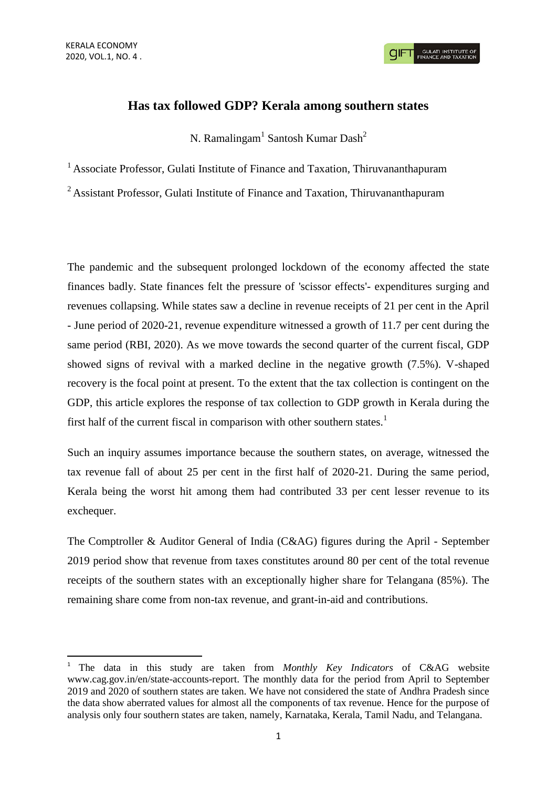**.** 

**GULATI INSTITUTE O**<br>FINANCE AND TAXATIO

## **Has tax followed GDP? Kerala among southern states**

N. Ramalingam<sup>1</sup> Santosh Kumar Dash<sup>2</sup>

<sup>1</sup> Associate Professor, Gulati Institute of Finance and Taxation, Thiruvananthapuram

<sup>2</sup> Assistant Professor, Gulati Institute of Finance and Taxation, Thiruvananthapuram

The pandemic and the subsequent prolonged lockdown of the economy affected the state finances badly. State finances felt the pressure of 'scissor effects'- expenditures surging and revenues collapsing. While states saw a decline in revenue receipts of 21 per cent in the April - June period of 2020-21, revenue expenditure witnessed a growth of 11.7 per cent during the same period (RBI, 2020). As we move towards the second quarter of the current fiscal, GDP showed signs of revival with a marked decline in the negative growth (7.5%). V-shaped recovery is the focal point at present. To the extent that the tax collection is contingent on the GDP, this article explores the response of tax collection to GDP growth in Kerala during the first half of the current fiscal in comparison with other southern states.<sup>1</sup>

Such an inquiry assumes importance because the southern states, on average, witnessed the tax revenue fall of about 25 per cent in the first half of 2020-21. During the same period, Kerala being the worst hit among them had contributed 33 per cent lesser revenue to its exchequer.

The Comptroller & Auditor General of India (C&AG) figures during the April - September 2019 period show that revenue from taxes constitutes around 80 per cent of the total revenue receipts of the southern states with an exceptionally higher share for Telangana (85%). The remaining share come from non-tax revenue, and grant-in-aid and contributions.

<sup>1</sup> The data in this study are taken from *Monthly Key Indicators* of C&AG website www.cag.gov.in/en/state-accounts-report. The monthly data for the period from April to September 2019 and 2020 of southern states are taken. We have not considered the state of Andhra Pradesh since the data show aberrated values for almost all the components of tax revenue. Hence for the purpose of analysis only four southern states are taken, namely, Karnataka, Kerala, Tamil Nadu, and Telangana.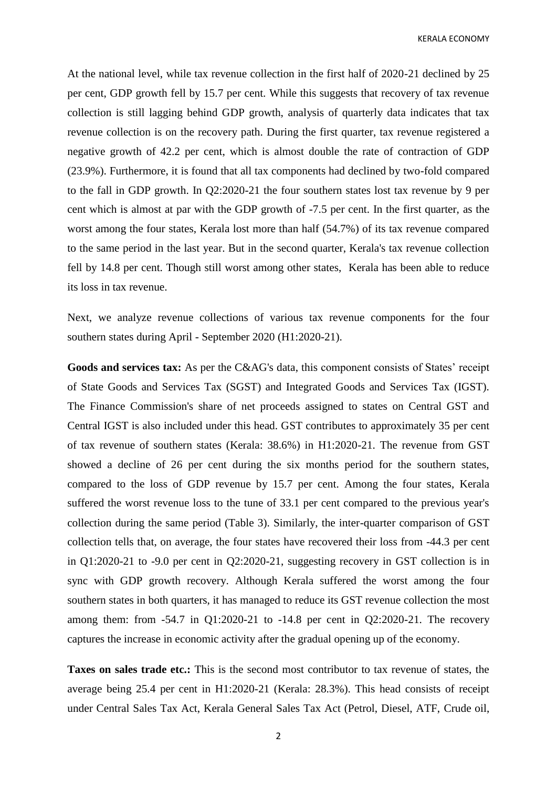KERALA ECONOMY

At the national level, while tax revenue collection in the first half of 2020-21 declined by 25 per cent, GDP growth fell by 15.7 per cent. While this suggests that recovery of tax revenue collection is still lagging behind GDP growth, analysis of quarterly data indicates that tax revenue collection is on the recovery path. During the first quarter, tax revenue registered a negative growth of 42.2 per cent, which is almost double the rate of contraction of GDP (23.9%). Furthermore, it is found that all tax components had declined by two-fold compared to the fall in GDP growth. In Q2:2020-21 the four southern states lost tax revenue by 9 per cent which is almost at par with the GDP growth of -7.5 per cent. In the first quarter, as the worst among the four states, Kerala lost more than half (54.7%) of its tax revenue compared to the same period in the last year. But in the second quarter, Kerala's tax revenue collection fell by 14.8 per cent. Though still worst among other states, Kerala has been able to reduce its loss in tax revenue.

Next, we analyze revenue collections of various tax revenue components for the four southern states during April - September 2020 (H1:2020-21).

**Goods and services tax:** As per the C&AG's data, this component consists of States' receipt of State Goods and Services Tax (SGST) and Integrated Goods and Services Tax (IGST). The Finance Commission's share of net proceeds assigned to states on Central GST and Central IGST is also included under this head. GST contributes to approximately 35 per cent of tax revenue of southern states (Kerala: 38.6%) in H1:2020-21. The revenue from GST showed a decline of 26 per cent during the six months period for the southern states, compared to the loss of GDP revenue by 15.7 per cent. Among the four states, Kerala suffered the worst revenue loss to the tune of 33.1 per cent compared to the previous year's collection during the same period (Table 3). Similarly, the inter-quarter comparison of GST collection tells that, on average, the four states have recovered their loss from -44.3 per cent in Q1:2020-21 to -9.0 per cent in Q2:2020-21, suggesting recovery in GST collection is in sync with GDP growth recovery. Although Kerala suffered the worst among the four southern states in both quarters, it has managed to reduce its GST revenue collection the most among them: from -54.7 in Q1:2020-21 to -14.8 per cent in Q2:2020-21. The recovery captures the increase in economic activity after the gradual opening up of the economy.

**Taxes on sales trade etc.:** This is the second most contributor to tax revenue of states, the average being 25.4 per cent in H1:2020-21 (Kerala: 28.3%). This head consists of receipt under Central Sales Tax Act, Kerala General Sales Tax Act (Petrol, Diesel, ATF, Crude oil,

2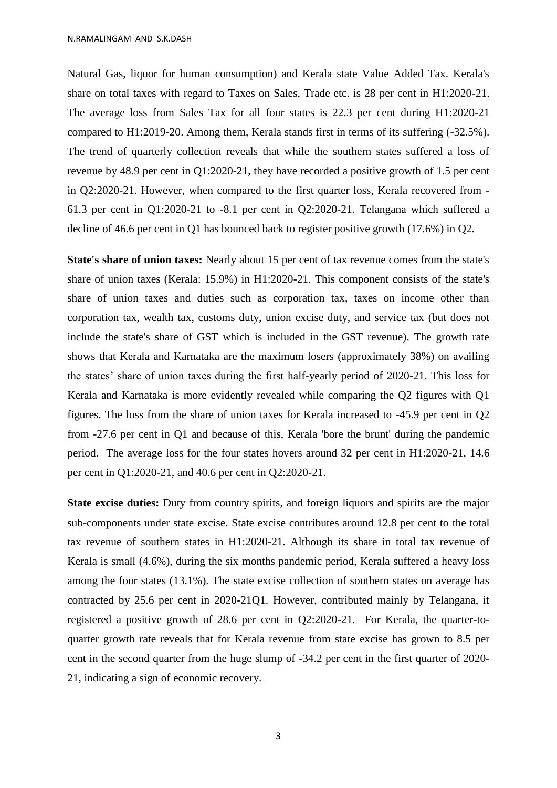Natural Gas, liquor for human consumption) and Kerala state Value Added Tax. Kerala's share on total taxes with regard to Taxes on Sales, Trade etc. is 28 per cent in H1:2020-21. The average loss from Sales Tax for all four states is 22.3 per cent during H1:2020-21 compared to H1:2019-20. Among them, Kerala stands first in terms of its suffering (-32.5%). The trend of quarterly collection reveals that while the southern states suffered a loss of revenue by 48.9 per cent in Q1:2020-21, they have recorded a positive growth of 1.5 per cent in Q2:2020-21. However, when compared to the first quarter loss, Kerala recovered from - 61.3 per cent in Q1:2020-21 to -8.1 per cent in Q2:2020-21. Telangana which suffered a decline of 46.6 per cent in Q1 has bounced back to register positive growth (17.6%) in Q2.

**State's share of union taxes:** Nearly about 15 per cent of tax revenue comes from the state's share of union taxes (Kerala: 15.9%) in H1:2020-21. This component consists of the state's share of union taxes and duties such as corporation tax, taxes on income other than corporation tax, wealth tax, customs duty, union excise duty, and service tax (but does not include the state's share of GST which is included in the GST revenue). The growth rate shows that Kerala and Karnataka are the maximum losers (approximately 38%) on availing the states' share of union taxes during the first half-yearly period of 2020-21. This loss for Kerala and Karnataka is more evidently revealed while comparing the Q2 figures with Q1 figures. The loss from the share of union taxes for Kerala increased to -45.9 per cent in Q2 from -27.6 per cent in Q1 and because of this, Kerala 'bore the brunt' during the pandemic period. The average loss for the four states hovers around 32 per cent in H1:2020-21, 14.6 per cent in Q1:2020-21, and 40.6 per cent in Q2:2020-21.

**State excise duties:** Duty from country spirits, and foreign liquors and spirits are the major sub-components under state excise. State excise contributes around 12.8 per cent to the total tax revenue of southern states in H1:2020-21. Although its share in total tax revenue of Kerala is small (4.6%), during the six months pandemic period, Kerala suffered a heavy loss among the four states (13.1%). The state excise collection of southern states on average has contracted by 25.6 per cent in 2020-21Q1. However, contributed mainly by Telangana, it registered a positive growth of 28.6 per cent in Q2:2020-21. For Kerala, the quarter-toquarter growth rate reveals that for Kerala revenue from state excise has grown to 8.5 per cent in the second quarter from the huge slump of -34.2 per cent in the first quarter of 2020- 21, indicating a sign of economic recovery.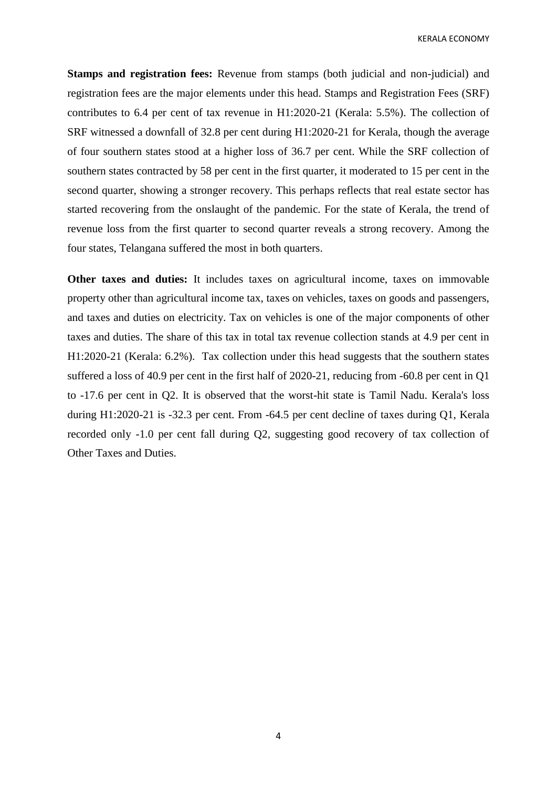KERALA ECONOMY

**Stamps and registration fees:** Revenue from stamps (both judicial and non-judicial) and registration fees are the major elements under this head. Stamps and Registration Fees (SRF) contributes to 6.4 per cent of tax revenue in H1:2020-21 (Kerala: 5.5%). The collection of SRF witnessed a downfall of 32.8 per cent during H1:2020-21 for Kerala, though the average of four southern states stood at a higher loss of 36.7 per cent. While the SRF collection of southern states contracted by 58 per cent in the first quarter, it moderated to 15 per cent in the second quarter, showing a stronger recovery. This perhaps reflects that real estate sector has started recovering from the onslaught of the pandemic. For the state of Kerala, the trend of revenue loss from the first quarter to second quarter reveals a strong recovery. Among the four states, Telangana suffered the most in both quarters.

**Other taxes and duties:** It includes taxes on agricultural income, taxes on immovable property other than agricultural income tax, taxes on vehicles, taxes on goods and passengers, and taxes and duties on electricity. Tax on vehicles is one of the major components of other taxes and duties. The share of this tax in total tax revenue collection stands at 4.9 per cent in H1:2020-21 (Kerala: 6.2%). Tax collection under this head suggests that the southern states suffered a loss of 40.9 per cent in the first half of 2020-21, reducing from -60.8 per cent in Q1 to -17.6 per cent in Q2. It is observed that the worst-hit state is Tamil Nadu. Kerala's loss during H1:2020-21 is -32.3 per cent. From -64.5 per cent decline of taxes during Q1, Kerala recorded only -1.0 per cent fall during Q2, suggesting good recovery of tax collection of Other Taxes and Duties.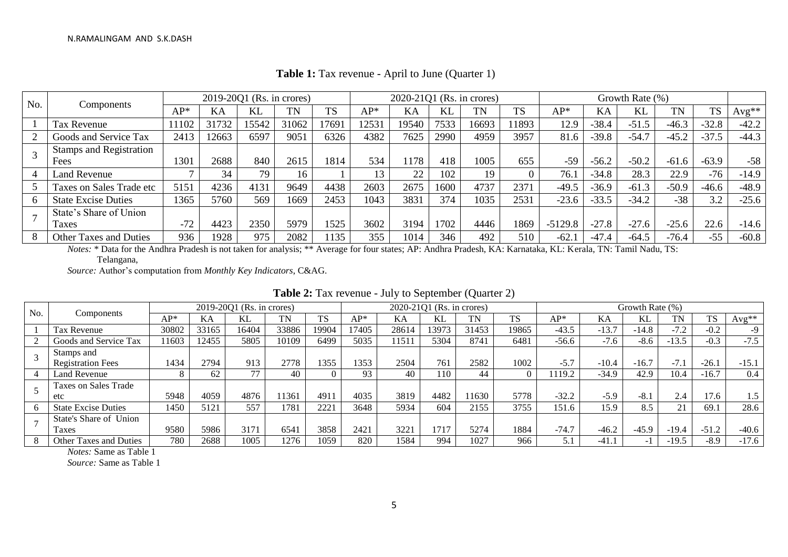| No. |                                |        |       | $2019-20Q1$ (Rs. in crores) |       |      |        |       | $2020-21Q1$ (Rs. in crores) |           | Growth Rate (%) |           |         |         |           |           |         |
|-----|--------------------------------|--------|-------|-----------------------------|-------|------|--------|-------|-----------------------------|-----------|-----------------|-----------|---------|---------|-----------|-----------|---------|
|     | Components                     | $AP^*$ | KА    | KL                          | TN    | TS   | $AP^*$ | ΚA    | KL                          | <b>TN</b> | <b>TS</b>       | $AP^*$    | KA      | KL      | <b>TN</b> | <b>TS</b> | $Avg**$ |
|     | Tax Revenue                    | 1102   | 31732 | 15542                       | 31062 | 7691 | 2531   | 19540 | 7533                        | 6693      | 1893            | 12.9      | $-38.4$ | $-51.5$ | $-46.3$   | $-32.8$   | $-42.2$ |
|     | Goods and Service Tax          | 2413   | 12663 | 6597                        | 9051  | 6326 | 4382   | 7625  | 2990                        | 4959      | 3957            | 81.6      | $-39.8$ | $-54.7$ | $-45.2$   | $-37.5$   | $-44.3$ |
|     | <b>Stamps and Registration</b> |        |       |                             |       |      |        |       |                             |           |                 |           |         |         |           |           |         |
|     | Fees                           | 1301   | 2688  | 840                         | 2615  | 1814 | 534    | 1178  | 418                         | 1005      | 655             | $-59$     | $-56.2$ | $-50.2$ | $-61.6$   | $-63.9$   | $-58$   |
|     | <b>Land Revenue</b>            |        | 34    | 79                          | 16    |      | 13     | 22    | 102                         | 19        |                 | 76.1      | $-34.8$ | 28.3    | 22.9      | $-76$     | $-14.9$ |
|     | Taxes on Sales Trade etc       | 5151   | 4236  | 4131                        | 9649  | 4438 | 2603   | 2675  | 1600                        | 4737      | 2371            | $-49.5$   | $-36.9$ | $-61.3$ | $-50.9$   | $-46.6$   | $-48.9$ |
| . რ | <b>State Excise Duties</b>     | 365    | 5760  | 569                         | 1669  | 2453 | 1043   | 3831  | 374                         | 1035      | 2531            | $-23.6$   | $-33.5$ | $-34.2$ | $-38$     | 3.2       | $-25.6$ |
|     | State's Share of Union         |        |       |                             |       |      |        |       |                             |           |                 |           |         |         |           |           |         |
|     | Taxes                          | $-72$  | 4423  | 2350                        | 5979  | 1525 | 3602   | 3194  | 1702                        | 4446      | 1869            | $-5129.8$ | $-27.8$ | $-27.6$ | $-25.6$   | 22.6      | $-14.6$ |
| 8   | <b>Other Taxes and Duties</b>  | 936    | 1928  | 975                         | 2082  | 1135 | 355    | 1014  | 346                         | 492       | 510             | $-62.1$   | $-47.4$ | $-64.5$ | $-76.4$   | $-55$     | $-60.8$ |

**Table 1:** Tax revenue - April to June (Quarter 1)

*Notes:* \* Data for the Andhra Pradesh is not taken for analysis; \*\* Average for four states; AP: Andhra Pradesh, KA: Karnataka, KL: Kerala, TN: Tamil Nadu, TS:

Telangana,

*Source:* Author's computation from *Monthly Key Indicators*, C&AG.

| <b>Table 2:</b> Tax revenue - July to September (Quarter 2) |  |  |  |
|-------------------------------------------------------------|--|--|--|
|-------------------------------------------------------------|--|--|--|

| No. |                               |        |       | $2019-20Q1$ (Rs. in crores) |       |           |       |       | 2020-21Q1 (Rs. in crores) |           |           | Growth Rate $(\%)$ |         |         |           |           |         |  |
|-----|-------------------------------|--------|-------|-----------------------------|-------|-----------|-------|-------|---------------------------|-----------|-----------|--------------------|---------|---------|-----------|-----------|---------|--|
|     | Components                    | $AP^*$ | KA    | KL                          | TN    | <b>TS</b> | AP*   | KА    | KL                        | <b>TN</b> | <b>TS</b> | $AP^*$             | KA      | KL      | <b>TN</b> | <b>TS</b> | $Avg**$ |  |
|     | Tax Revenue                   | 30802  | 33165 | 16404                       | 33886 | 19904     | 17405 | 28614 | 13973                     | 31453     | 19865     | $-43.5$            | $-13.7$ | $-14.8$ | $-7.2$    | $-0.2$    | $-9$    |  |
|     | Goods and Service Tax         | 11603  | 12455 | 5805                        | 10109 | 6499      | 5035  | 1511  | 5304                      | 8741      | 6481      | $-56.6$            | $-7.6$  | $-8.6$  | $-13.5$   | $-0.3$    | $-7.5$  |  |
|     | Stamps and                    |        |       |                             |       |           |       |       |                           |           |           |                    |         |         |           |           |         |  |
|     | <b>Registration Fees</b>      | 1434   | 2794  | 913                         | 2778  | 1355      | 353   | 2504  | 761                       | 2582      | 1002      | $-5.7$             | $-10.4$ | $-16.7$ | $-7.1$    | $-26.1$   | $-15.1$ |  |
| 4   | Land Revenue                  |        | 62    | 77                          | 40    |           | 93    | 40    | 110                       | 44        |           | 1119.2             | $-34.9$ | 42.9    | 10.4      | $-16.7$   | 0.4     |  |
|     | Taxes on Sales Trade          |        |       |                             |       |           |       |       |                           |           |           |                    |         |         |           |           |         |  |
|     | etc                           | 5948   | 4059  | 4876                        | 11361 | 4911      | 4035  | 3819  | 4482                      | 1630      | 5778      | $-32.2$            | $-5.9$  | $-8.1$  | 2.4       | 17.6      | 1.5     |  |
|     | <b>State Excise Duties</b>    | 1450   | 5121  | 557                         | 1781  | 222.      | 3648  | 5934  | 604                       | 2155      | 3755      | 151.6              | 15.9    | 8.5     | 21        | 69.1      | 28.6    |  |
|     | State's Share of Union        |        |       |                             |       |           |       |       |                           |           |           |                    |         |         |           |           |         |  |
|     | Taxes                         | 9580   | 5986  | 3171                        | 6541  | 3858      | 2421  | 3221  | 1717                      | 5274      | 1884      | $-74.7$            | $-46.2$ | $-45.9$ | $-19.4$   | $-51.2$   | $-40.6$ |  |
|     | <b>Other Taxes and Duties</b> | 780    | 2688  | 1005                        | 1276  | 1059      | 820   | 1584  | 994                       | 1027      | 966       |                    | $-41.1$ |         | $-19.5$   | $-8.9$    | $-17.6$ |  |

*Notes:* Same as Table 1

*Source:* Same as Table 1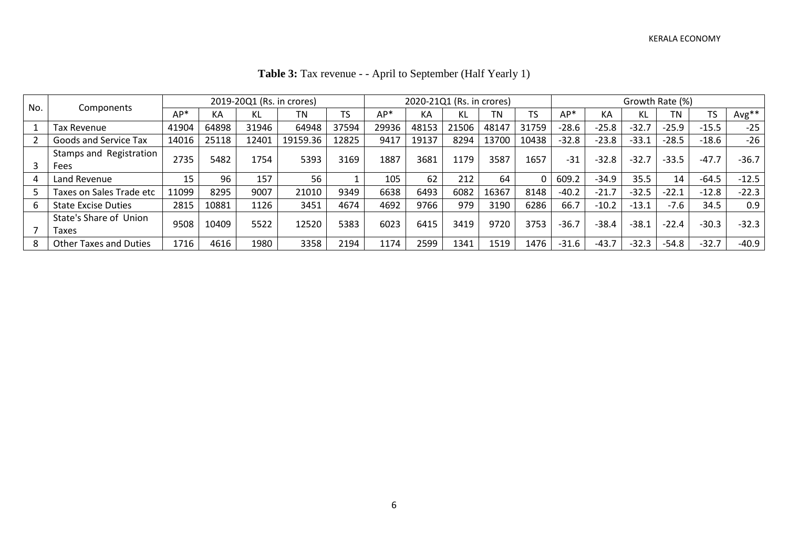| No. | Components                    |       | 2019-20Q1 (Rs. in crores) | 2020-21Q1 (Rs. in crores) |          |       |       |       |       | Growth Rate (%) |       |         |         |         |           |         |         |
|-----|-------------------------------|-------|---------------------------|---------------------------|----------|-------|-------|-------|-------|-----------------|-------|---------|---------|---------|-----------|---------|---------|
|     |                               | $AP*$ | KА                        | KL                        | ΤN       | TS    | AP*   | KA    | ΚL    | TN              | TS    | $AP*$   | KА      | KL      | <b>TN</b> | TS      | $Avg**$ |
|     | <b>Tax Revenue</b>            | 41904 | 64898                     | 31946                     | 64948    | 37594 | 29936 | 48153 | 21506 | 48147           | 31759 | $-28.6$ | $-25.8$ | $-32.7$ | $-25.9$   | $-15.5$ | $-25$   |
|     | Goods and Service Tax         | 14016 | 25118                     | 12401                     | 19159.36 | 12825 | 9417  | 19137 | 8294  | 13700           | 10438 | $-32.8$ | $-23.8$ | $-33.1$ | $-28.5$   | $-18.6$ | $-26$   |
|     | Stamps and Registration       | 2735  | 5482                      | 1754                      | 5393     | 3169  | 1887  | 3681  | 1179  | 3587            | 1657  | $-31$   | $-32.8$ | $-32.7$ | $-33.5$   | $-47.7$ | $-36.7$ |
|     | Fees                          |       |                           |                           |          |       |       |       |       |                 |       |         |         |         |           |         |         |
| 4   | Land Revenue                  | 15    | 96                        | 157                       | 56       |       | 105   | 62    | 212   | 64              | ∩     | 609.2   | $-34.9$ | 35.5    | 14        | $-64.5$ | $-12.5$ |
|     | Taxes on Sales Trade etc      | 11099 | 8295                      | 9007                      | 21010    | 9349  | 6638  | 6493  | 6082  | 16367           | 8148  | $-40.2$ | $-21.7$ | $-32.5$ | $-22.1$   | $-12.8$ | $-22.3$ |
| 6   | <b>State Excise Duties</b>    | 2815  | 10881                     | 1126                      | 3451     | 4674  | 4692  | 9766  | 979   | 3190            | 6286  | 66.7    | $-10.2$ | $-13.1$ | $-7.6$    | 34.5    | 0.9     |
|     | State's Share of Union        | 9508  | 10409                     | 5522                      | 12520    | 5383  | 6023  | 6415  | 3419  | 9720            | 3753  | $-36.7$ | $-38.4$ | $-38.1$ | $-22.4$   | $-30.3$ | $-32.3$ |
|     | Taxes                         |       |                           |                           |          |       |       |       |       |                 |       |         |         |         |           |         |         |
| 8   | <b>Other Taxes and Duties</b> | 1716  | 4616                      | 1980                      | 3358     | 2194  | 1174  | 2599  | 1341  | 1519            | 1476  | $-31.6$ | $-43.7$ | $-32.3$ | $-54.8$   | $-32.7$ | $-40.9$ |

**Table 3:** Tax revenue - - April to September (Half Yearly 1)